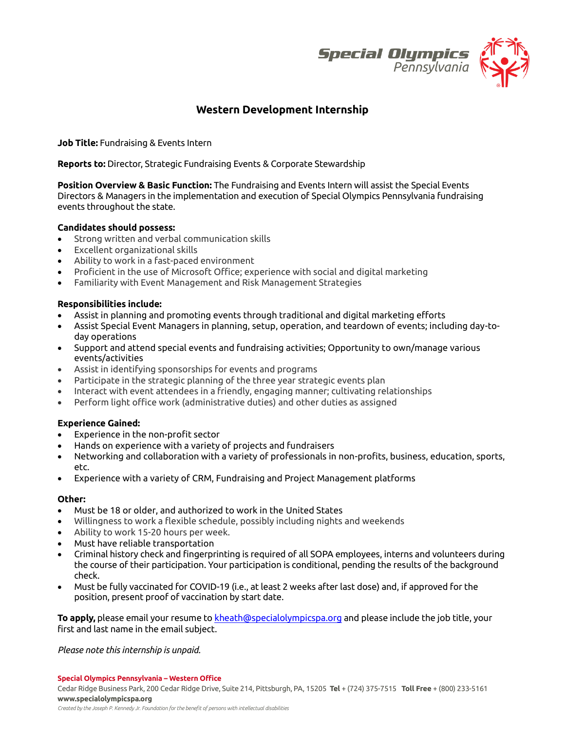

# **Western Development Internship**

**Job Title:** Fundraising & Events Intern

**Reports to:** Director, Strategic Fundraising Events & Corporate Stewardship

**Position Overview & Basic Function:** The Fundraising and Events Intern will assist the Special Events Directors & Managers in the implementation and execution of Special Olympics Pennsylvania fundraising events throughout the state.

### **Candidates should possess:**

- Strong written and verbal communication skills
- Excellent organizational skills
- Ability to work in a fast-paced environment
- Proficient in the use of Microsoft Office; experience with social and digital marketing
- Familiarity with Event Management and Risk Management Strategies

### **Responsibilities include:**

- Assist in planning and promoting events through traditional and digital marketing efforts
- Assist Special Event Managers in planning, setup, operation, and teardown of events; including day-today operations
- Support and attend special events and fundraising activities; Opportunity to own/manage various events/activities
- Assist in identifying sponsorships for events and programs
- Participate in the strategic planning of the three year strategic events plan
- Interact with event attendees in a friendly, engaging manner; cultivating relationships
- Perform light office work (administrative duties) and other duties as assigned

## **Experience Gained:**

- Experience in the non-profit sector
- Hands on experience with a variety of projects and fundraisers
- Networking and collaboration with a variety of professionals in non-profits, business, education, sports, etc.
- Experience with a variety of CRM, Fundraising and Project Management platforms

#### **Other:**

- Must be 18 or older, and authorized to work in the United States
- Willingness to work a flexible schedule, possibly including nights and weekends
- Ability to work 15-20 hours per week.
- Must have reliable transportation
- Criminal history check and fingerprinting is required of all SOPA employees, interns and volunteers during the course of their participation. Your participation is conditional, pending the results of the background check.
- Must be fully vaccinated for COVID-19 (i.e., at least 2 weeks after last dose) and, if approved for the position, present proof of vaccination by start date.

**To apply,** please email your resume t[o kheath@specialolympicspa.org](mailto:kheath@specialolympicspa.org) and please include the job title, your first and last name in the email subject.

*Please note this internship is unpaid.*

**Special Olympics Pennsylvania – Western Office**

Cedar Ridge Business Park, 200 Cedar Ridge Drive, Suite 214, Pittsburgh, PA, 15205 **Tel** + (724) 375-7515 **Toll Free** + (800) 233-5161 **www.specialolympicspa.org** 

*Created by the Joseph P. Kennedy Jr. Foundation for the benefit of persons with intellectual disabilities*